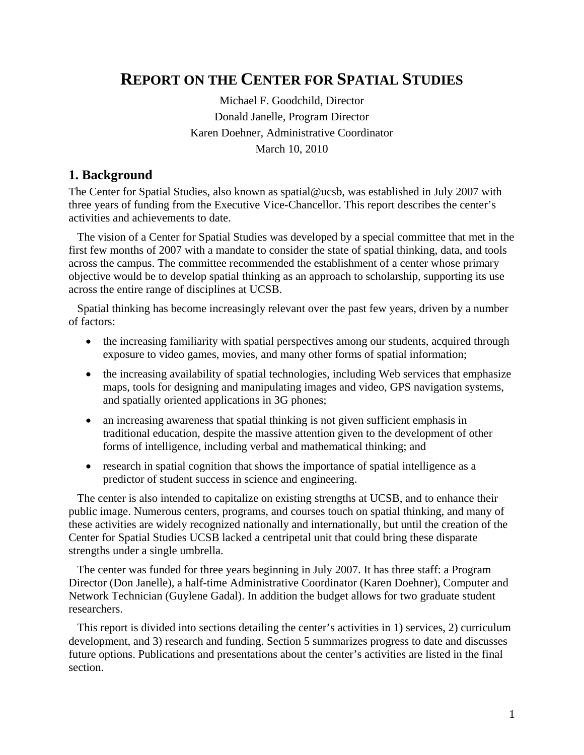# **REPORT ON THE CENTER FOR SPATIAL STUDIES**

Michael F. Goodchild, Director Donald Janelle, Program Director Karen Doehner, Administrative Coordinator March 10, 2010

# **1. Background**

The Center for Spatial Studies, also known as spatial@ucsb, was established in July 2007 with three years of funding from the Executive Vice-Chancellor. This report describes the center's activities and achievements to date.

 The vision of a Center for Spatial Studies was developed by a special committee that met in the first few months of 2007 with a mandate to consider the state of spatial thinking, data, and tools across the campus. The committee recommended the establishment of a center whose primary objective would be to develop spatial thinking as an approach to scholarship, supporting its use across the entire range of disciplines at UCSB.

 Spatial thinking has become increasingly relevant over the past few years, driven by a number of factors:

- the increasing familiarity with spatial perspectives among our students, acquired through exposure to video games, movies, and many other forms of spatial information;
- the increasing availability of spatial technologies, including Web services that emphasize maps, tools for designing and manipulating images and video, GPS navigation systems, and spatially oriented applications in 3G phones;
- an increasing awareness that spatial thinking is not given sufficient emphasis in traditional education, despite the massive attention given to the development of other forms of intelligence, including verbal and mathematical thinking; and
- research in spatial cognition that shows the importance of spatial intelligence as a predictor of student success in science and engineering.

 The center is also intended to capitalize on existing strengths at UCSB, and to enhance their public image. Numerous centers, programs, and courses touch on spatial thinking, and many of these activities are widely recognized nationally and internationally, but until the creation of the Center for Spatial Studies UCSB lacked a centripetal unit that could bring these disparate strengths under a single umbrella.

 The center was funded for three years beginning in July 2007. It has three staff: a Program Director (Don Janelle), a half-time Administrative Coordinator (Karen Doehner), Computer and Network Technician (Guylene Gadal). In addition the budget allows for two graduate student researchers.

 This report is divided into sections detailing the center's activities in 1) services, 2) curriculum development, and 3) research and funding. Section 5 summarizes progress to date and discusses future options. Publications and presentations about the center's activities are listed in the final section.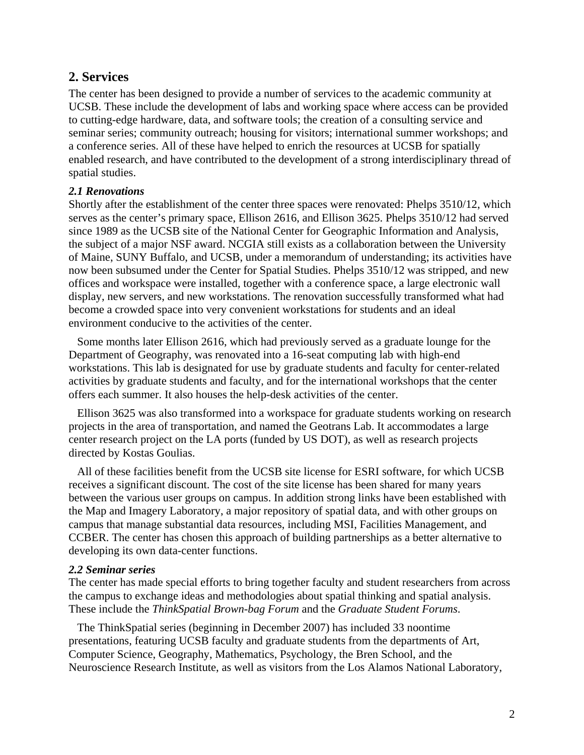# **2. Services**

The center has been designed to provide a number of services to the academic community at UCSB. These include the development of labs and working space where access can be provided to cutting-edge hardware, data, and software tools; the creation of a consulting service and seminar series; community outreach; housing for visitors; international summer workshops; and a conference series. All of these have helped to enrich the resources at UCSB for spatially enabled research, and have contributed to the development of a strong interdisciplinary thread of spatial studies.

### *2.1 Renovations*

Shortly after the establishment of the center three spaces were renovated: Phelps 3510/12, which serves as the center's primary space, Ellison 2616, and Ellison 3625. Phelps 3510/12 had served since 1989 as the UCSB site of the National Center for Geographic Information and Analysis, the subject of a major NSF award. NCGIA still exists as a collaboration between the University of Maine, SUNY Buffalo, and UCSB, under a memorandum of understanding; its activities have now been subsumed under the Center for Spatial Studies. Phelps 3510/12 was stripped, and new offices and workspace were installed, together with a conference space, a large electronic wall display, new servers, and new workstations. The renovation successfully transformed what had become a crowded space into very convenient workstations for students and an ideal environment conducive to the activities of the center.

 Some months later Ellison 2616, which had previously served as a graduate lounge for the Department of Geography, was renovated into a 16-seat computing lab with high-end workstations. This lab is designated for use by graduate students and faculty for center-related activities by graduate students and faculty, and for the international workshops that the center offers each summer. It also houses the help-desk activities of the center.

 Ellison 3625 was also transformed into a workspace for graduate students working on research projects in the area of transportation, and named the Geotrans Lab. It accommodates a large center research project on the LA ports (funded by US DOT), as well as research projects directed by Kostas Goulias.

 All of these facilities benefit from the UCSB site license for ESRI software, for which UCSB receives a significant discount. The cost of the site license has been shared for many years between the various user groups on campus. In addition strong links have been established with the Map and Imagery Laboratory, a major repository of spatial data, and with other groups on campus that manage substantial data resources, including MSI, Facilities Management, and CCBER. The center has chosen this approach of building partnerships as a better alternative to developing its own data-center functions.

### *2.2 Seminar series*

The center has made special efforts to bring together faculty and student researchers from across the campus to exchange ideas and methodologies about spatial thinking and spatial analysis. These include the *ThinkSpatial Brown-bag Forum* and the *Graduate Student Forums*.

 The ThinkSpatial series (beginning in December 2007) has included 33 noontime presentations, featuring UCSB faculty and graduate students from the departments of Art, Computer Science, Geography, Mathematics, Psychology, the Bren School, and the Neuroscience Research Institute, as well as visitors from the Los Alamos National Laboratory,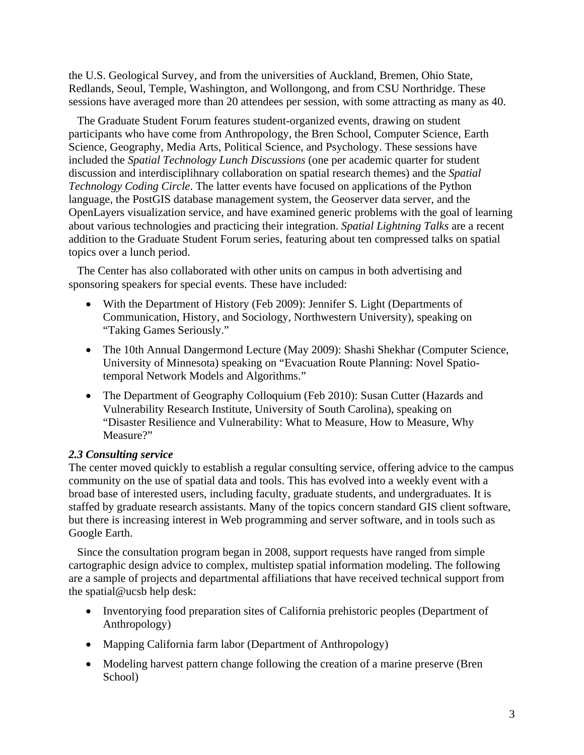the U.S. Geological Survey, and from the universities of Auckland, Bremen, Ohio State, Redlands, Seoul, Temple, Washington, and Wollongong, and from CSU Northridge. These sessions have averaged more than 20 attendees per session, with some attracting as many as 40.

 The Graduate Student Forum features student-organized events, drawing on student participants who have come from Anthropology, the Bren School, Computer Science, Earth Science, Geography, Media Arts, Political Science, and Psychology. These sessions have included the *Spatial Technology Lunch Discussions* (one per academic quarter for student discussion and interdisciplihnary collaboration on spatial research themes) and the *Spatial Technology Coding Circle*. The latter events have focused on applications of the Python language, the PostGIS database management system, the Geoserver data server, and the OpenLayers visualization service, and have examined generic problems with the goal of learning about various technologies and practicing their integration. *Spatial Lightning Talks* are a recent addition to the Graduate Student Forum series, featuring about ten compressed talks on spatial topics over a lunch period.

 The Center has also collaborated with other units on campus in both advertising and sponsoring speakers for special events. These have included:

- With the Department of History (Feb 2009): Jennifer S. Light (Departments of Communication, History, and Sociology, Northwestern University), speaking on "Taking Games Seriously."
- The 10th Annual Dangermond Lecture (May 2009): Shashi Shekhar (Computer Science, University of Minnesota) speaking on "Evacuation Route Planning: Novel Spatiotemporal Network Models and Algorithms."
- The Department of Geography Colloquium (Feb 2010): Susan Cutter (Hazards and Vulnerability Research Institute, University of South Carolina), speaking on "Disaster Resilience and Vulnerability: What to Measure, How to Measure, Why Measure?"

### *2.3 Consulting service*

The center moved quickly to establish a regular consulting service, offering advice to the campus community on the use of spatial data and tools. This has evolved into a weekly event with a broad base of interested users, including faculty, graduate students, and undergraduates. It is staffed by graduate research assistants. Many of the topics concern standard GIS client software, but there is increasing interest in Web programming and server software, and in tools such as Google Earth.

 Since the consultation program began in 2008, support requests have ranged from simple cartographic design advice to complex, multistep spatial information modeling. The following are a sample of projects and departmental affiliations that have received technical support from the spatial@ucsb help desk:

- Inventorying food preparation sites of California prehistoric peoples (Department of Anthropology)
- Mapping California farm labor (Department of Anthropology)
- Modeling harvest pattern change following the creation of a marine preserve (Bren School)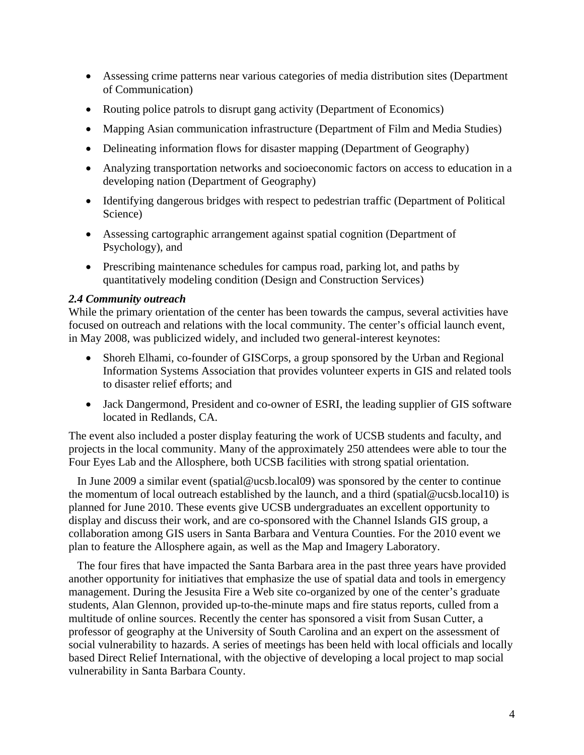- Assessing crime patterns near various categories of media distribution sites (Department of Communication)
- Routing police patrols to disrupt gang activity (Department of Economics)
- Mapping Asian communication infrastructure (Department of Film and Media Studies)
- Delineating information flows for disaster mapping (Department of Geography)
- Analyzing transportation networks and socioeconomic factors on access to education in a developing nation (Department of Geography)
- Identifying dangerous bridges with respect to pedestrian traffic (Department of Political Science)
- Assessing cartographic arrangement against spatial cognition (Department of Psychology), and
- Prescribing maintenance schedules for campus road, parking lot, and paths by quantitatively modeling condition (Design and Construction Services)

### *2.4 Community outreach*

While the primary orientation of the center has been towards the campus, several activities have focused on outreach and relations with the local community. The center's official launch event, in May 2008, was publicized widely, and included two general-interest keynotes:

- Shoreh Elhami, co-founder of GISCorps, a group sponsored by the Urban and Regional Information Systems Association that provides volunteer experts in GIS and related tools to disaster relief efforts; and
- Jack Dangermond, President and co-owner of ESRI, the leading supplier of GIS software located in Redlands, CA.

The event also included a poster display featuring the work of UCSB students and faculty, and projects in the local community. Many of the approximately 250 attendees were able to tour the Four Eyes Lab and the Allosphere, both UCSB facilities with strong spatial orientation.

 In June 2009 a similar event (spatial@ucsb.local09) was sponsored by the center to continue the momentum of local outreach established by the launch, and a third (spatial@ucsb.local10) is planned for June 2010. These events give UCSB undergraduates an excellent opportunity to display and discuss their work, and are co-sponsored with the Channel Islands GIS group, a collaboration among GIS users in Santa Barbara and Ventura Counties. For the 2010 event we plan to feature the Allosphere again, as well as the Map and Imagery Laboratory.

 The four fires that have impacted the Santa Barbara area in the past three years have provided another opportunity for initiatives that emphasize the use of spatial data and tools in emergency management. During the Jesusita Fire a Web site co-organized by one of the center's graduate students, Alan Glennon, provided up-to-the-minute maps and fire status reports, culled from a multitude of online sources. Recently the center has sponsored a visit from Susan Cutter, a professor of geography at the University of South Carolina and an expert on the assessment of social vulnerability to hazards. A series of meetings has been held with local officials and locally based Direct Relief International, with the objective of developing a local project to map social vulnerability in Santa Barbara County.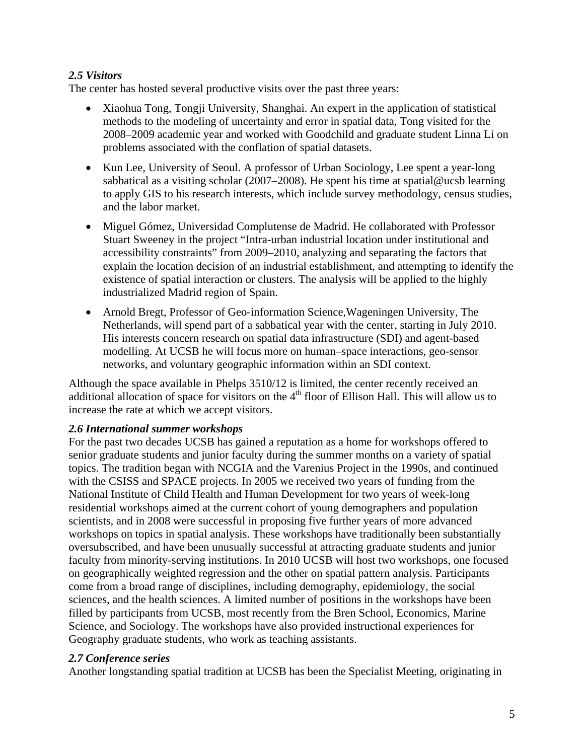### *2.5 Visitors*

The center has hosted several productive visits over the past three years:

- Xiaohua Tong, Tongji University, Shanghai. An expert in the application of statistical methods to the modeling of uncertainty and error in spatial data, Tong visited for the 2008–2009 academic year and worked with Goodchild and graduate student Linna Li on problems associated with the conflation of spatial datasets.
- Kun Lee, University of Seoul. A professor of Urban Sociology, Lee spent a year-long sabbatical as a visiting scholar (2007–2008). He spent his time at spatial@ucsb learning to apply GIS to his research interests, which include survey methodology, census studies, and the labor market.
- Miguel Gómez, Universidad Complutense de Madrid. He collaborated with Professor Stuart Sweeney in the project "Intra-urban industrial location under institutional and accessibility constraints" from 2009–2010, analyzing and separating the factors that explain the location decision of an industrial establishment, and attempting to identify the existence of spatial interaction or clusters. The analysis will be applied to the highly industrialized Madrid region of Spain.
- Arnold Bregt, Professor of Geo-information Science,Wageningen University, The Netherlands, will spend part of a sabbatical year with the center, starting in July 2010. His interests concern research on spatial data infrastructure (SDI) and agent-based modelling. At UCSB he will focus more on human–space interactions, geo-sensor networks, and voluntary geographic information within an SDI context.

Although the space available in Phelps 3510/12 is limited, the center recently received an additional allocation of space for visitors on the  $4<sup>th</sup>$  floor of Ellison Hall. This will allow us to increase the rate at which we accept visitors.

### *2.6 International summer workshops*

For the past two decades UCSB has gained a reputation as a home for workshops offered to senior graduate students and junior faculty during the summer months on a variety of spatial topics. The tradition began with NCGIA and the Varenius Project in the 1990s, and continued with the CSISS and SPACE projects. In 2005 we received two years of funding from the National Institute of Child Health and Human Development for two years of week-long residential workshops aimed at the current cohort of young demographers and population scientists, and in 2008 were successful in proposing five further years of more advanced workshops on topics in spatial analysis. These workshops have traditionally been substantially oversubscribed, and have been unusually successful at attracting graduate students and junior faculty from minority-serving institutions. In 2010 UCSB will host two workshops, one focused on geographically weighted regression and the other on spatial pattern analysis. Participants come from a broad range of disciplines, including demography, epidemiology, the social sciences, and the health sciences. A limited number of positions in the workshops have been filled by participants from UCSB, most recently from the Bren School, Economics, Marine Science, and Sociology. The workshops have also provided instructional experiences for Geography graduate students, who work as teaching assistants.

### *2.7 Conference series*

Another longstanding spatial tradition at UCSB has been the Specialist Meeting, originating in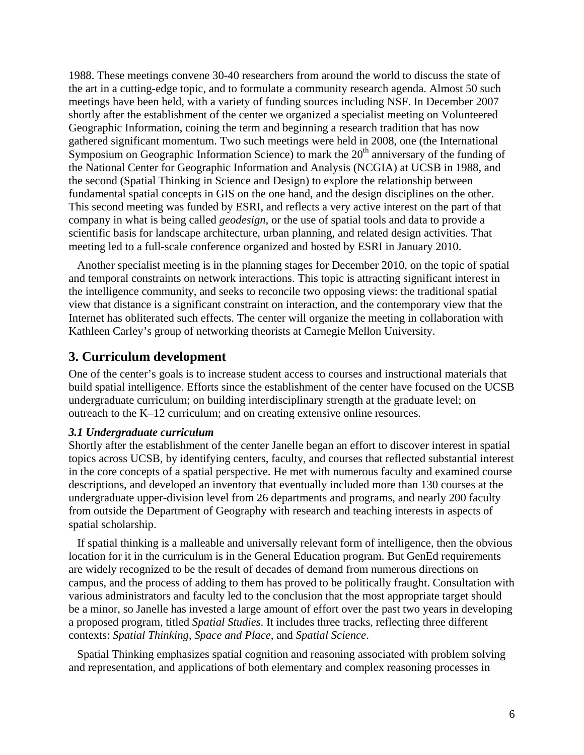1988. These meetings convene 30-40 researchers from around the world to discuss the state of the art in a cutting-edge topic, and to formulate a community research agenda. Almost 50 such meetings have been held, with a variety of funding sources including NSF. In December 2007 shortly after the establishment of the center we organized a specialist meeting on Volunteered Geographic Information, coining the term and beginning a research tradition that has now gathered significant momentum. Two such meetings were held in 2008, one (the International Symposium on Geographic Information Science) to mark the  $20<sup>th</sup>$  anniversary of the funding of the National Center for Geographic Information and Analysis (NCGIA) at UCSB in 1988, and the second (Spatial Thinking in Science and Design) to explore the relationship between fundamental spatial concepts in GIS on the one hand, and the design disciplines on the other. This second meeting was funded by ESRI, and reflects a very active interest on the part of that company in what is being called *geodesign*, or the use of spatial tools and data to provide a scientific basis for landscape architecture, urban planning, and related design activities. That meeting led to a full-scale conference organized and hosted by ESRI in January 2010.

 Another specialist meeting is in the planning stages for December 2010, on the topic of spatial and temporal constraints on network interactions. This topic is attracting significant interest in the intelligence community, and seeks to reconcile two opposing views: the traditional spatial view that distance is a significant constraint on interaction, and the contemporary view that the Internet has obliterated such effects. The center will organize the meeting in collaboration with Kathleen Carley's group of networking theorists at Carnegie Mellon University.

# **3. Curriculum development**

One of the center's goals is to increase student access to courses and instructional materials that build spatial intelligence. Efforts since the establishment of the center have focused on the UCSB undergraduate curriculum; on building interdisciplinary strength at the graduate level; on outreach to the K–12 curriculum; and on creating extensive online resources.

### *3.1 Undergraduate curriculum*

Shortly after the establishment of the center Janelle began an effort to discover interest in spatial topics across UCSB, by identifying centers, faculty, and courses that reflected substantial interest in the core concepts of a spatial perspective. He met with numerous faculty and examined course descriptions, and developed an inventory that eventually included more than 130 courses at the undergraduate upper-division level from 26 departments and programs, and nearly 200 faculty from outside the Department of Geography with research and teaching interests in aspects of spatial scholarship.

 If spatial thinking is a malleable and universally relevant form of intelligence, then the obvious location for it in the curriculum is in the General Education program. But GenEd requirements are widely recognized to be the result of decades of demand from numerous directions on campus, and the process of adding to them has proved to be politically fraught. Consultation with various administrators and faculty led to the conclusion that the most appropriate target should be a minor, so Janelle has invested a large amount of effort over the past two years in developing a proposed program, titled *Spatial Studies*. It includes three tracks, reflecting three different contexts: *Spatial Thinking*, *Space and Place*, and *Spatial Science*.

 Spatial Thinking emphasizes spatial cognition and reasoning associated with problem solving and representation, and applications of both elementary and complex reasoning processes in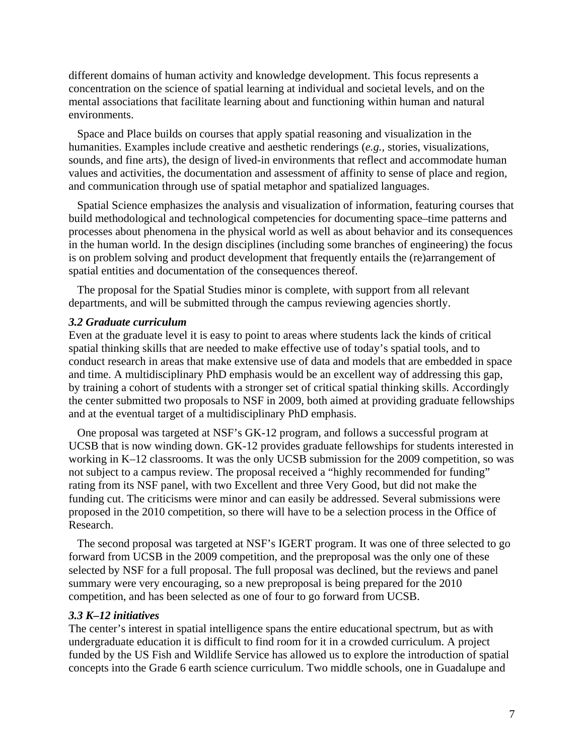different domains of human activity and knowledge development. This focus represents a concentration on the science of spatial learning at individual and societal levels, and on the mental associations that facilitate learning about and functioning within human and natural environments.

 Space and Place builds on courses that apply spatial reasoning and visualization in the humanities. Examples include creative and aesthetic renderings (*e.g.*, stories, visualizations, sounds, and fine arts), the design of lived-in environments that reflect and accommodate human values and activities, the documentation and assessment of affinity to sense of place and region*,*  and communication through use of spatial metaphor and spatialized languages.

 Spatial Science emphasizes the analysis and visualization of information, featuring courses that build methodological and technological competencies for documenting space–time patterns and processes about phenomena in the physical world as well as about behavior and its consequences in the human world. In the design disciplines (including some branches of engineering) the focus is on problem solving and product development that frequently entails the (re)arrangement of spatial entities and documentation of the consequences thereof.

 The proposal for the Spatial Studies minor is complete, with support from all relevant departments, and will be submitted through the campus reviewing agencies shortly.

#### *3.2 Graduate curriculum*

Even at the graduate level it is easy to point to areas where students lack the kinds of critical spatial thinking skills that are needed to make effective use of today's spatial tools, and to conduct research in areas that make extensive use of data and models that are embedded in space and time. A multidisciplinary PhD emphasis would be an excellent way of addressing this gap, by training a cohort of students with a stronger set of critical spatial thinking skills. Accordingly the center submitted two proposals to NSF in 2009, both aimed at providing graduate fellowships and at the eventual target of a multidisciplinary PhD emphasis.

 One proposal was targeted at NSF's GK-12 program, and follows a successful program at UCSB that is now winding down. GK-12 provides graduate fellowships for students interested in working in K–12 classrooms. It was the only UCSB submission for the 2009 competition, so was not subject to a campus review. The proposal received a "highly recommended for funding" rating from its NSF panel, with two Excellent and three Very Good, but did not make the funding cut. The criticisms were minor and can easily be addressed. Several submissions were proposed in the 2010 competition, so there will have to be a selection process in the Office of Research.

 The second proposal was targeted at NSF's IGERT program. It was one of three selected to go forward from UCSB in the 2009 competition, and the preproposal was the only one of these selected by NSF for a full proposal. The full proposal was declined, but the reviews and panel summary were very encouraging, so a new preproposal is being prepared for the 2010 competition, and has been selected as one of four to go forward from UCSB.

#### *3.3 K–12 initiatives*

The center's interest in spatial intelligence spans the entire educational spectrum, but as with undergraduate education it is difficult to find room for it in a crowded curriculum. A project funded by the US Fish and Wildlife Service has allowed us to explore the introduction of spatial concepts into the Grade 6 earth science curriculum. Two middle schools, one in Guadalupe and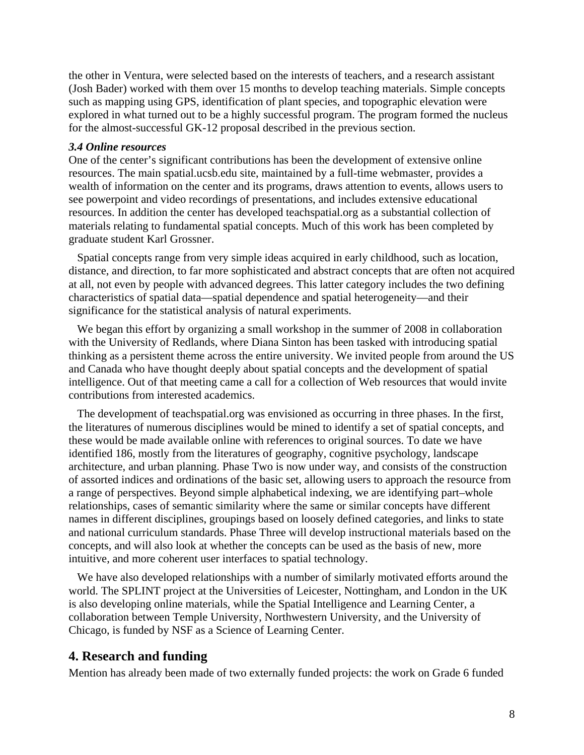the other in Ventura, were selected based on the interests of teachers, and a research assistant (Josh Bader) worked with them over 15 months to develop teaching materials. Simple concepts such as mapping using GPS, identification of plant species, and topographic elevation were explored in what turned out to be a highly successful program. The program formed the nucleus for the almost-successful GK-12 proposal described in the previous section.

#### *3.4 Online resources*

One of the center's significant contributions has been the development of extensive online resources. The main spatial.ucsb.edu site, maintained by a full-time webmaster, provides a wealth of information on the center and its programs, draws attention to events, allows users to see powerpoint and video recordings of presentations, and includes extensive educational resources. In addition the center has developed teachspatial.org as a substantial collection of materials relating to fundamental spatial concepts. Much of this work has been completed by graduate student Karl Grossner.

 Spatial concepts range from very simple ideas acquired in early childhood, such as location, distance, and direction, to far more sophisticated and abstract concepts that are often not acquired at all, not even by people with advanced degrees. This latter category includes the two defining characteristics of spatial data—spatial dependence and spatial heterogeneity—and their significance for the statistical analysis of natural experiments.

 We began this effort by organizing a small workshop in the summer of 2008 in collaboration with the University of Redlands, where Diana Sinton has been tasked with introducing spatial thinking as a persistent theme across the entire university. We invited people from around the US and Canada who have thought deeply about spatial concepts and the development of spatial intelligence. Out of that meeting came a call for a collection of Web resources that would invite contributions from interested academics.

 The development of teachspatial.org was envisioned as occurring in three phases. In the first, the literatures of numerous disciplines would be mined to identify a set of spatial concepts, and these would be made available online with references to original sources. To date we have identified 186, mostly from the literatures of geography, cognitive psychology, landscape architecture, and urban planning. Phase Two is now under way, and consists of the construction of assorted indices and ordinations of the basic set, allowing users to approach the resource from a range of perspectives. Beyond simple alphabetical indexing, we are identifying part–whole relationships, cases of semantic similarity where the same or similar concepts have different names in different disciplines, groupings based on loosely defined categories, and links to state and national curriculum standards. Phase Three will develop instructional materials based on the concepts, and will also look at whether the concepts can be used as the basis of new, more intuitive, and more coherent user interfaces to spatial technology.

 We have also developed relationships with a number of similarly motivated efforts around the world. The SPLINT project at the Universities of Leicester, Nottingham, and London in the UK is also developing online materials, while the Spatial Intelligence and Learning Center, a collaboration between Temple University, Northwestern University, and the University of Chicago, is funded by NSF as a Science of Learning Center.

# **4. Research and funding**

Mention has already been made of two externally funded projects: the work on Grade 6 funded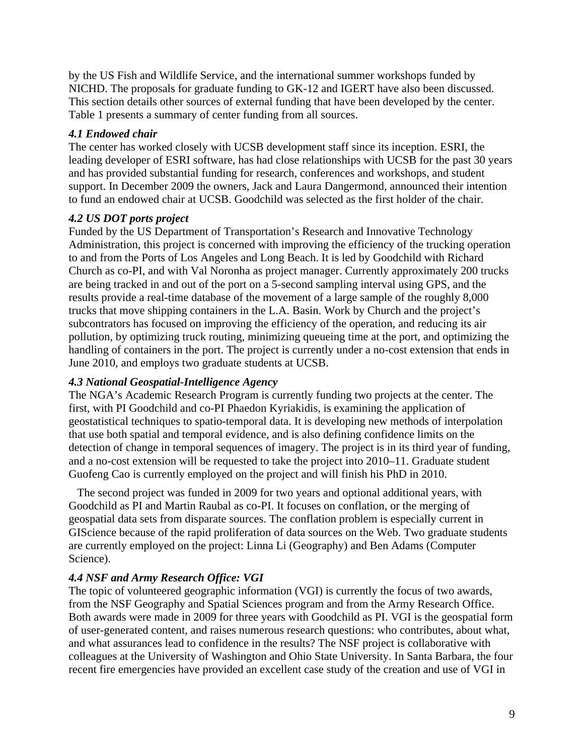by the US Fish and Wildlife Service, and the international summer workshops funded by NICHD. The proposals for graduate funding to GK-12 and IGERT have also been discussed. This section details other sources of external funding that have been developed by the center. Table 1 presents a summary of center funding from all sources.

# *4.1 Endowed chair*

The center has worked closely with UCSB development staff since its inception. ESRI, the leading developer of ESRI software, has had close relationships with UCSB for the past 30 years and has provided substantial funding for research, conferences and workshops, and student support. In December 2009 the owners, Jack and Laura Dangermond, announced their intention to fund an endowed chair at UCSB. Goodchild was selected as the first holder of the chair.

### *4.2 US DOT ports project*

Funded by the US Department of Transportation's Research and Innovative Technology Administration, this project is concerned with improving the efficiency of the trucking operation to and from the Ports of Los Angeles and Long Beach. It is led by Goodchild with Richard Church as co-PI, and with Val Noronha as project manager. Currently approximately 200 trucks are being tracked in and out of the port on a 5-second sampling interval using GPS, and the results provide a real-time database of the movement of a large sample of the roughly 8,000 trucks that move shipping containers in the L.A. Basin. Work by Church and the project's subcontrators has focused on improving the efficiency of the operation, and reducing its air pollution, by optimizing truck routing, minimizing queueing time at the port, and optimizing the handling of containers in the port. The project is currently under a no-cost extension that ends in June 2010, and employs two graduate students at UCSB.

### *4.3 National Geospatial-Intelligence Agency*

The NGA's Academic Research Program is currently funding two projects at the center. The first, with PI Goodchild and co-PI Phaedon Kyriakidis, is examining the application of geostatistical techniques to spatio-temporal data. It is developing new methods of interpolation that use both spatial and temporal evidence, and is also defining confidence limits on the detection of change in temporal sequences of imagery. The project is in its third year of funding, and a no-cost extension will be requested to take the project into 2010–11. Graduate student Guofeng Cao is currently employed on the project and will finish his PhD in 2010.

 The second project was funded in 2009 for two years and optional additional years, with Goodchild as PI and Martin Raubal as co-PI. It focuses on conflation, or the merging of geospatial data sets from disparate sources. The conflation problem is especially current in GIScience because of the rapid proliferation of data sources on the Web. Two graduate students are currently employed on the project: Linna Li (Geography) and Ben Adams (Computer Science).

# *4.4 NSF and Army Research Office: VGI*

The topic of volunteered geographic information (VGI) is currently the focus of two awards, from the NSF Geography and Spatial Sciences program and from the Army Research Office. Both awards were made in 2009 for three years with Goodchild as PI. VGI is the geospatial form of user-generated content, and raises numerous research questions: who contributes, about what, and what assurances lead to confidence in the results? The NSF project is collaborative with colleagues at the University of Washington and Ohio State University. In Santa Barbara, the four recent fire emergencies have provided an excellent case study of the creation and use of VGI in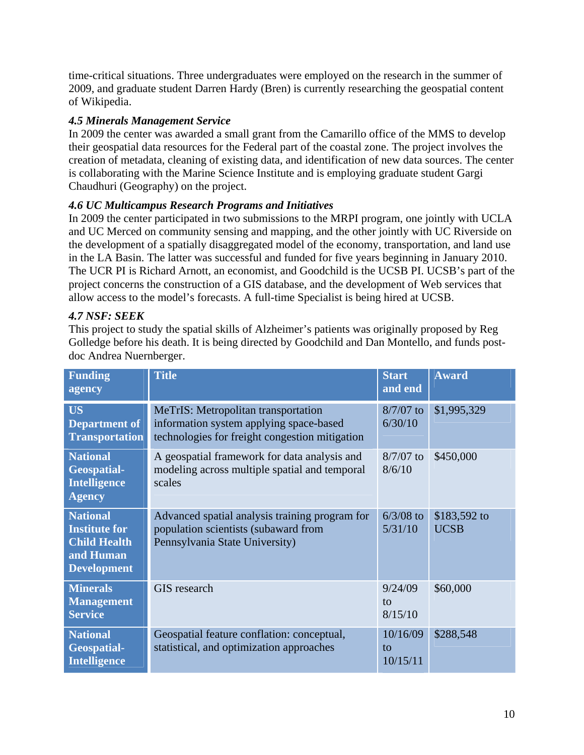time-critical situations. Three undergraduates were employed on the research in the summer of 2009, and graduate student Darren Hardy (Bren) is currently researching the geospatial content of Wikipedia.

# *4.5 Minerals Management Service*

In 2009 the center was awarded a small grant from the Camarillo office of the MMS to develop their geospatial data resources for the Federal part of the coastal zone. The project involves the creation of metadata, cleaning of existing data, and identification of new data sources. The center is collaborating with the Marine Science Institute and is employing graduate student Gargi Chaudhuri (Geography) on the project.

# *4.6 UC Multicampus Research Programs and Initiatives*

In 2009 the center participated in two submissions to the MRPI program, one jointly with UCLA and UC Merced on community sensing and mapping, and the other jointly with UC Riverside on the development of a spatially disaggregated model of the economy, transportation, and land use in the LA Basin. The latter was successful and funded for five years beginning in January 2010. The UCR PI is Richard Arnott, an economist, and Goodchild is the UCSB PI. UCSB's part of the project concerns the construction of a GIS database, and the development of Web services that allow access to the model's forecasts. A full-time Specialist is being hired at UCSB.

# *4.7 NSF: SEEK*

This project to study the spatial skills of Alzheimer's patients was originally proposed by Reg Golledge before his death. It is being directed by Goodchild and Dan Montello, and funds postdoc Andrea Nuernberger.

| <b>Funding</b><br>agency                                                                          | <b>Title</b>                                                                                                                     | <b>Start</b><br>and end    | <b>Award</b>                 |
|---------------------------------------------------------------------------------------------------|----------------------------------------------------------------------------------------------------------------------------------|----------------------------|------------------------------|
| <b>US</b><br><b>Department of</b><br><b>Transportation</b>                                        | MeTrIS: Metropolitan transportation<br>information system applying space-based<br>technologies for freight congestion mitigation | $8/7/07$ to<br>6/30/10     | \$1,995,329                  |
| <b>National</b><br><b>Geospatial-</b><br><b>Intelligence</b><br><b>Agency</b>                     | A geospatial framework for data analysis and<br>modeling across multiple spatial and temporal<br>scales                          | $8/7/07$ to<br>8/6/10      | \$450,000                    |
| <b>National</b><br><b>Institute for</b><br><b>Child Health</b><br>and Human<br><b>Development</b> | Advanced spatial analysis training program for<br>population scientists (subaward from<br>Pennsylvania State University)         | $6/3/08$ to<br>5/31/10     | $$183,592$ to<br><b>UCSB</b> |
| <b>Minerals</b><br><b>Management</b><br><b>Service</b>                                            | <b>GIS</b> research                                                                                                              | 9/24/09<br>to<br>8/15/10   | \$60,000                     |
| <b>National</b><br><b>Geospatial-</b><br><b>Intelligence</b>                                      | Geospatial feature conflation: conceptual,<br>statistical, and optimization approaches                                           | 10/16/09<br>tο<br>10/15/11 | \$288,548                    |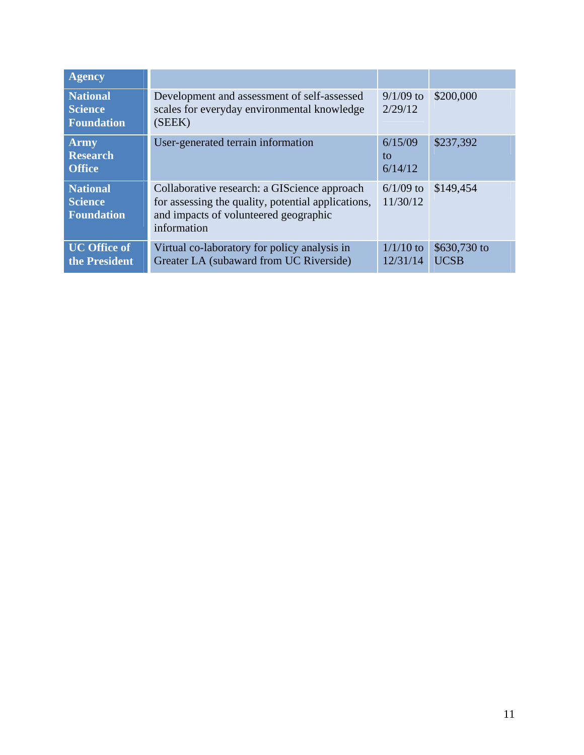| <b>Agency</b>                                          |                                                                                                                                                            |                          |                             |
|--------------------------------------------------------|------------------------------------------------------------------------------------------------------------------------------------------------------------|--------------------------|-----------------------------|
| <b>National</b><br><b>Science</b><br><b>Foundation</b> | Development and assessment of self-assessed<br>scales for everyday environmental knowledge<br>(SEEK)                                                       | $9/1/09$ to<br>2/29/12   | \$200,000                   |
| <b>Army</b><br><b>Research</b><br><b>Office</b>        | User-generated terrain information                                                                                                                         | 6/15/09<br>to<br>6/14/12 | \$237,392                   |
| <b>National</b><br><b>Science</b><br><b>Foundation</b> | Collaborative research: a GIScience approach<br>for assessing the quality, potential applications,<br>and impacts of volunteered geographic<br>information | $6/1/09$ to<br>11/30/12  | \$149,454                   |
| <b>UC Office of</b><br>the President                   | Virtual co-laboratory for policy analysis in<br>Greater LA (subaward from UC Riverside)                                                                    | $1/1/10$ to<br>12/31/14  | \$630,730 to<br><b>UCSB</b> |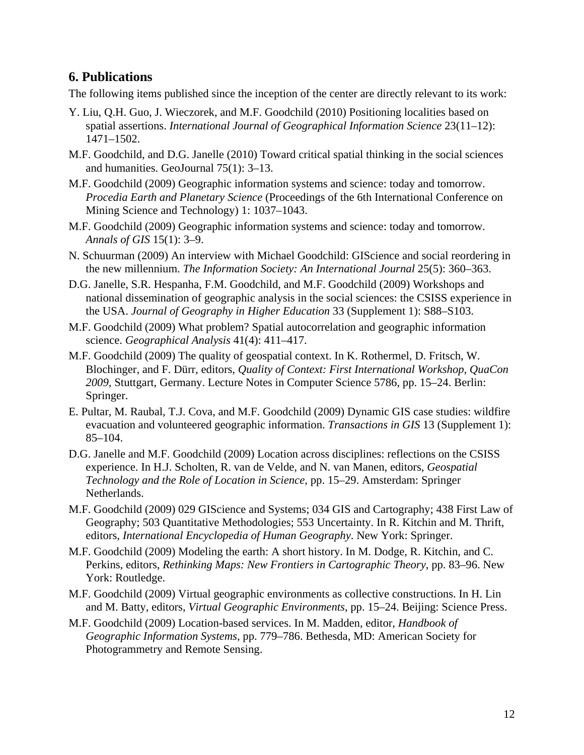# **6. Publications**

The following items published since the inception of the center are directly relevant to its work:

- Y. Liu, Q.H. Guo, J. Wieczorek, and M.F. Goodchild (2010) Positioning localities based on spatial assertions. *International Journal of Geographical Information Science* 23(11–12): 1471–1502.
- M.F. Goodchild, and D.G. Janelle (2010) Toward critical spatial thinking in the social sciences and humanities. GeoJournal 75(1): 3–13.
- M.F. Goodchild (2009) Geographic information systems and science: today and tomorrow. *Procedia Earth and Planetary Science* (Proceedings of the 6th International Conference on Mining Science and Technology) 1: 1037–1043.
- M.F. Goodchild (2009) Geographic information systems and science: today and tomorrow. *Annals of GIS* 15(1): 3–9.
- N. Schuurman (2009) An interview with Michael Goodchild: GIScience and social reordering in the new millennium. *The Information Society: An International Journal* 25(5): 360–363.
- D.G. Janelle, S.R. Hespanha, F.M. Goodchild, and M.F. Goodchild (2009) Workshops and national dissemination of geographic analysis in the social sciences: the CSISS experience in the USA. *Journal of Geography in Higher Education* 33 (Supplement 1): S88–S103.
- M.F. Goodchild (2009) What problem? Spatial autocorrelation and geographic information science. *Geographical Analysis* 41(4): 411–417.
- M.F. Goodchild (2009) The quality of geospatial context. In K. Rothermel, D. Fritsch, W. Blochinger, and F. Dürr, editors, *Quality of Context: First International Workshop, QuaCon 2009*, Stuttgart, Germany. Lecture Notes in Computer Science 5786, pp. 15–24. Berlin: Springer.
- E. Pultar, M. Raubal, T.J. Cova, and M.F. Goodchild (2009) Dynamic GIS case studies: wildfire evacuation and volunteered geographic information. *Transactions in GIS* 13 (Supplement 1): 85–104.
- D.G. Janelle and M.F. Goodchild (2009) Location across disciplines: reflections on the CSISS experience. In H.J. Scholten, R. van de Velde, and N. van Manen, editors, *Geospatial Technology and the Role of Location in Science*, pp. 15–29. Amsterdam: Springer Netherlands.
- M.F. Goodchild (2009) 029 GIScience and Systems; 034 GIS and Cartography; 438 First Law of Geography; 503 Quantitative Methodologies; 553 Uncertainty. In R. Kitchin and M. Thrift, editors, *International Encyclopedia of Human Geography*. New York: Springer.
- M.F. Goodchild (2009) Modeling the earth: A short history. In M. Dodge, R. Kitchin, and C. Perkins, editors, *Rethinking Maps: New Frontiers in Cartographic Theory*, pp. 83–96. New York: Routledge.
- M.F. Goodchild (2009) Virtual geographic environments as collective constructions. In H. Lin and M. Batty, editors, *Virtual Geographic Environments*, pp. 15–24. Beijing: Science Press.
- M.F. Goodchild (2009) Location-based services. In M. Madden, editor, *Handbook of Geographic Information Systems*, pp. 779–786. Bethesda, MD: American Society for Photogrammetry and Remote Sensing.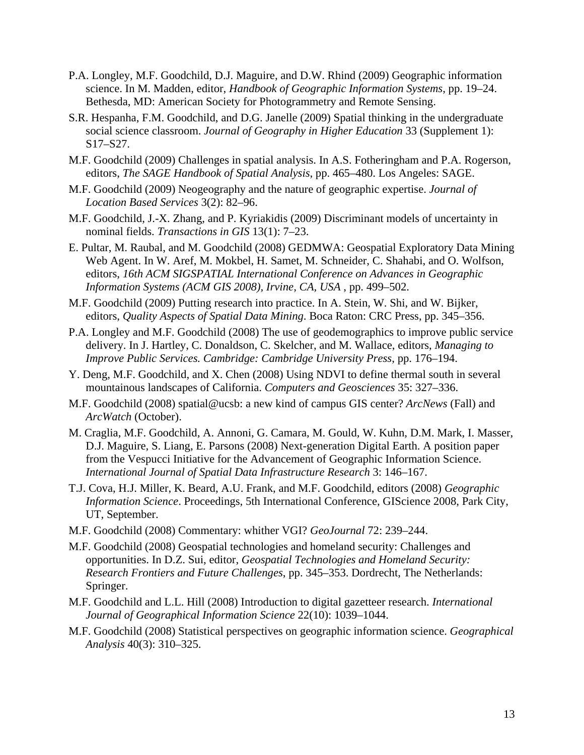- P.A. Longley, M.F. Goodchild, D.J. Maguire, and D.W. Rhind (2009) Geographic information science. In M. Madden, editor, *Handbook of Geographic Information Systems*, pp. 19–24. Bethesda, MD: American Society for Photogrammetry and Remote Sensing.
- S.R. Hespanha, F.M. Goodchild, and D.G. Janelle (2009) Spatial thinking in the undergraduate social science classroom. *Journal of Geography in Higher Education* 33 (Supplement 1): S17–S27.
- M.F. Goodchild (2009) Challenges in spatial analysis. In A.S. Fotheringham and P.A. Rogerson, editors, *The SAGE Handbook of Spatial Analysis*, pp. 465–480. Los Angeles: SAGE.
- M.F. Goodchild (2009) Neogeography and the nature of geographic expertise. *Journal of Location Based Services* 3(2): 82–96.
- M.F. Goodchild, J.-X. Zhang, and P. Kyriakidis (2009) Discriminant models of uncertainty in nominal fields. *Transactions in GIS* 13(1): 7–23.
- E. Pultar, M. Raubal, and M. Goodchild (2008) GEDMWA: Geospatial Exploratory Data Mining Web Agent. In W. Aref, M. Mokbel, H. Samet, M. Schneider, C. Shahabi, and O. Wolfson, editors, *16th ACM SIGSPATIAL International Conference on Advances in Geographic Information Systems (ACM GIS 2008), Irvine, CA, USA* , pp. 499–502.
- M.F. Goodchild (2009) Putting research into practice. In A. Stein, W. Shi, and W. Bijker, editors, *Quality Aspects of Spatial Data Mining*. Boca Raton: CRC Press, pp. 345–356.
- P.A. Longley and M.F. Goodchild (2008) The use of geodemographics to improve public service delivery. In J. Hartley, C. Donaldson, C. Skelcher, and M. Wallace, editors, *Managing to Improve Public Services. Cambridge: Cambridge University Press*, pp. 176–194.
- Y. Deng, M.F. Goodchild, and X. Chen (2008) Using NDVI to define thermal south in several mountainous landscapes of California. *Computers and Geosciences* 35: 327–336.
- M.F. Goodchild (2008) spatial@ucsb: a new kind of campus GIS center? *ArcNews* (Fall) and *ArcWatch* (October).
- M. Craglia, M.F. Goodchild, A. Annoni, G. Camara, M. Gould, W. Kuhn, D.M. Mark, I. Masser, D.J. Maguire, S. Liang, E. Parsons (2008) Next-generation Digital Earth. A position paper from the Vespucci Initiative for the Advancement of Geographic Information Science. *International Journal of Spatial Data Infrastructure Research* 3: 146–167.
- T.J. Cova, H.J. Miller, K. Beard, A.U. Frank, and M.F. Goodchild, editors (2008) *Geographic Information Science*. Proceedings, 5th International Conference, GIScience 2008, Park City, UT, September.
- M.F. Goodchild (2008) Commentary: whither VGI? *GeoJournal* 72: 239–244.
- M.F. Goodchild (2008) Geospatial technologies and homeland security: Challenges and opportunities. In D.Z. Sui, editor, *Geospatial Technologies and Homeland Security: Research Frontiers and Future Challenges*, pp. 345–353. Dordrecht, The Netherlands: Springer.
- M.F. Goodchild and L.L. Hill (2008) Introduction to digital gazetteer research. *International Journal of Geographical Information Science* 22(10): 1039–1044.
- M.F. Goodchild (2008) Statistical perspectives on geographic information science. *Geographical Analysis* 40(3): 310–325.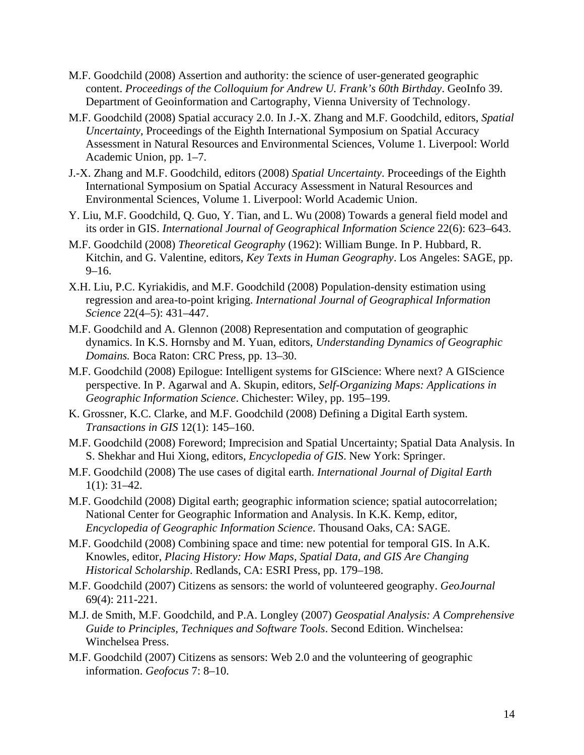- M.F. Goodchild (2008) Assertion and authority: the science of user-generated geographic content. *Proceedings of the Colloquium for Andrew U. Frank's 60th Birthday*. GeoInfo 39. Department of Geoinformation and Cartography, Vienna University of Technology.
- M.F. Goodchild (2008) Spatial accuracy 2.0. In J.-X. Zhang and M.F. Goodchild, editors, *Spatial Uncertainty*, Proceedings of the Eighth International Symposium on Spatial Accuracy Assessment in Natural Resources and Environmental Sciences, Volume 1. Liverpool: World Academic Union, pp. 1–7.
- J.-X. Zhang and M.F. Goodchild, editors (2008) *Spatial Uncertainty*. Proceedings of the Eighth International Symposium on Spatial Accuracy Assessment in Natural Resources and Environmental Sciences, Volume 1. Liverpool: World Academic Union.
- Y. Liu, M.F. Goodchild, Q. Guo, Y. Tian, and L. Wu (2008) Towards a general field model and its order in GIS. *International Journal of Geographical Information Science* 22(6): 623–643.
- M.F. Goodchild (2008) *Theoretical Geography* (1962): William Bunge. In P. Hubbard, R. Kitchin, and G. Valentine, editors, *Key Texts in Human Geography*. Los Angeles: SAGE, pp.  $9-16.$
- X.H. Liu, P.C. Kyriakidis, and M.F. Goodchild (2008) Population-density estimation using regression and area-to-point kriging. *International Journal of Geographical Information Science* 22(4–5): 431–447.
- M.F. Goodchild and A. Glennon (2008) Representation and computation of geographic dynamics. In K.S. Hornsby and M. Yuan, editors, *Understanding Dynamics of Geographic Domains.* Boca Raton: CRC Press, pp. 13–30.
- M.F. Goodchild (2008) Epilogue: Intelligent systems for GIScience: Where next? A GIScience perspective. In P. Agarwal and A. Skupin, editors, *Self-Organizing Maps: Applications in Geographic Information Science*. Chichester: Wiley, pp. 195–199.
- K. Grossner, K.C. Clarke, and M.F. Goodchild (2008) Defining a Digital Earth system. *Transactions in GIS* 12(1): 145–160.
- M.F. Goodchild (2008) Foreword; Imprecision and Spatial Uncertainty; Spatial Data Analysis. In S. Shekhar and Hui Xiong, editors, *Encyclopedia of GIS*. New York: Springer.
- M.F. Goodchild (2008) The use cases of digital earth. *International Journal of Digital Earth*  $1(1): 31-42.$
- M.F. Goodchild (2008) Digital earth; geographic information science; spatial autocorrelation; National Center for Geographic Information and Analysis. In K.K. Kemp, editor, *Encyclopedia of Geographic Information Science*. Thousand Oaks, CA: SAGE.
- M.F. Goodchild (2008) Combining space and time: new potential for temporal GIS. In A.K. Knowles, editor, *Placing History: How Maps, Spatial Data, and GIS Are Changing Historical Scholarship*. Redlands, CA: ESRI Press, pp. 179–198.
- M.F. Goodchild (2007) Citizens as sensors: the world of volunteered geography. *GeoJournal* 69(4): 211-221.
- M.J. de Smith, M.F. Goodchild, and P.A. Longley (2007) *Geospatial Analysis: A Comprehensive Guide to Principles, Techniques and Software Tools*. Second Edition. Winchelsea: Winchelsea Press.
- M.F. Goodchild (2007) Citizens as sensors: Web 2.0 and the volunteering of geographic information. *Geofocus* 7: 8–10.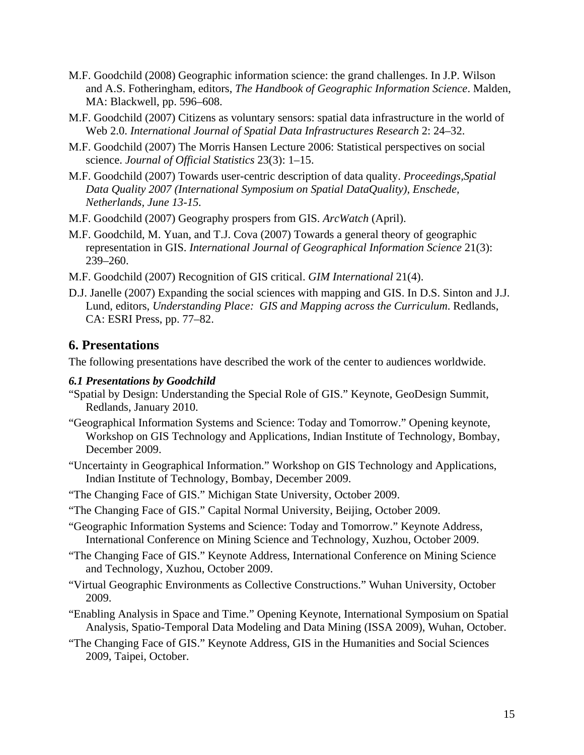- M.F. Goodchild (2008) Geographic information science: the grand challenges. In J.P. Wilson and A.S. Fotheringham, editors, *The Handbook of Geographic Information Science*. Malden, MA: Blackwell, pp. 596–608.
- M.F. Goodchild (2007) Citizens as voluntary sensors: spatial data infrastructure in the world of Web 2.0. *International Journal of Spatial Data Infrastructures Research* 2: 24–32.
- M.F. Goodchild (2007) The Morris Hansen Lecture 2006: Statistical perspectives on social science. *Journal of Official Statistics* 23(3): 1–15.
- M.F. Goodchild (2007) Towards user-centric description of data quality. *Proceedings,Spatial Data Quality 2007 (International Symposium on Spatial DataQuality), Enschede, Netherlands, June 13-15.*
- M.F. Goodchild (2007) Geography prospers from GIS. *ArcWatch* (April).
- M.F. Goodchild, M. Yuan, and T.J. Cova (2007) Towards a general theory of geographic representation in GIS. *International Journal of Geographical Information Science* 21(3): 239–260.
- M.F. Goodchild (2007) Recognition of GIS critical. *GIM International* 21(4).
- D.J. Janelle (2007) Expanding the social sciences with mapping and GIS. In D.S. Sinton and J.J. Lund, editors, *Understanding Place: GIS and Mapping across the Curriculum*. Redlands, CA: ESRI Press, pp. 77–82.

# **6. Presentations**

The following presentations have described the work of the center to audiences worldwide.

### *6.1 Presentations by Goodchild*

- "Spatial by Design: Understanding the Special Role of GIS." Keynote, GeoDesign Summit, Redlands, January 2010.
- "Geographical Information Systems and Science: Today and Tomorrow." Opening keynote, Workshop on GIS Technology and Applications, Indian Institute of Technology, Bombay, December 2009.
- "Uncertainty in Geographical Information." Workshop on GIS Technology and Applications, Indian Institute of Technology, Bombay, December 2009.
- "The Changing Face of GIS." Michigan State University, October 2009.
- "The Changing Face of GIS." Capital Normal University, Beijing, October 2009.
- "Geographic Information Systems and Science: Today and Tomorrow." Keynote Address, International Conference on Mining Science and Technology, Xuzhou, October 2009.
- "The Changing Face of GIS." Keynote Address, International Conference on Mining Science and Technology, Xuzhou, October 2009.
- "Virtual Geographic Environments as Collective Constructions." Wuhan University, October 2009.
- "Enabling Analysis in Space and Time." Opening Keynote, International Symposium on Spatial Analysis, Spatio-Temporal Data Modeling and Data Mining (ISSA 2009), Wuhan, October.
- "The Changing Face of GIS." Keynote Address, GIS in the Humanities and Social Sciences 2009, Taipei, October.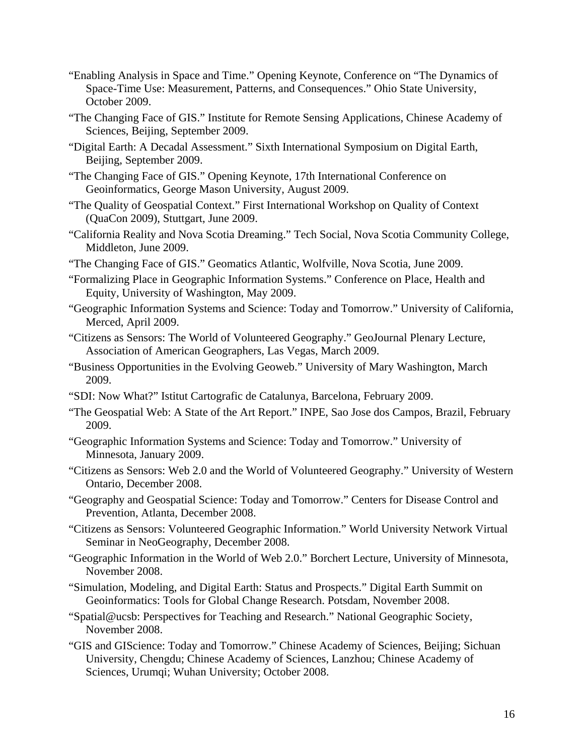- "Enabling Analysis in Space and Time." Opening Keynote, Conference on "The Dynamics of Space-Time Use: Measurement, Patterns, and Consequences." Ohio State University, October 2009.
- "The Changing Face of GIS." Institute for Remote Sensing Applications, Chinese Academy of Sciences, Beijing, September 2009.
- "Digital Earth: A Decadal Assessment." Sixth International Symposium on Digital Earth, Beijing, September 2009.
- "The Changing Face of GIS." Opening Keynote, 17th International Conference on Geoinformatics, George Mason University, August 2009.
- "The Quality of Geospatial Context." First International Workshop on Quality of Context (QuaCon 2009), Stuttgart, June 2009.
- "California Reality and Nova Scotia Dreaming." Tech Social, Nova Scotia Community College, Middleton, June 2009.
- "The Changing Face of GIS." Geomatics Atlantic, Wolfville, Nova Scotia, June 2009.
- "Formalizing Place in Geographic Information Systems." Conference on Place, Health and Equity, University of Washington, May 2009.
- "Geographic Information Systems and Science: Today and Tomorrow." University of California, Merced, April 2009.
- "Citizens as Sensors: The World of Volunteered Geography." GeoJournal Plenary Lecture, Association of American Geographers, Las Vegas, March 2009.
- "Business Opportunities in the Evolving Geoweb." University of Mary Washington, March 2009.
- "SDI: Now What?" Istitut Cartografic de Catalunya, Barcelona, February 2009.
- "The Geospatial Web: A State of the Art Report." INPE, Sao Jose dos Campos, Brazil, February 2009.
- "Geographic Information Systems and Science: Today and Tomorrow." University of Minnesota, January 2009.
- "Citizens as Sensors: Web 2.0 and the World of Volunteered Geography." University of Western Ontario, December 2008.
- "Geography and Geospatial Science: Today and Tomorrow." Centers for Disease Control and Prevention, Atlanta, December 2008.
- "Citizens as Sensors: Volunteered Geographic Information." World University Network Virtual Seminar in NeoGeography, December 2008.
- "Geographic Information in the World of Web 2.0." Borchert Lecture, University of Minnesota, November 2008.
- "Simulation, Modeling, and Digital Earth: Status and Prospects." Digital Earth Summit on Geoinformatics: Tools for Global Change Research. Potsdam, November 2008.
- "Spatial@ucsb: Perspectives for Teaching and Research." National Geographic Society, November 2008.
- "GIS and GIScience: Today and Tomorrow." Chinese Academy of Sciences, Beijing; Sichuan University, Chengdu; Chinese Academy of Sciences, Lanzhou; Chinese Academy of Sciences, Urumqi; Wuhan University; October 2008.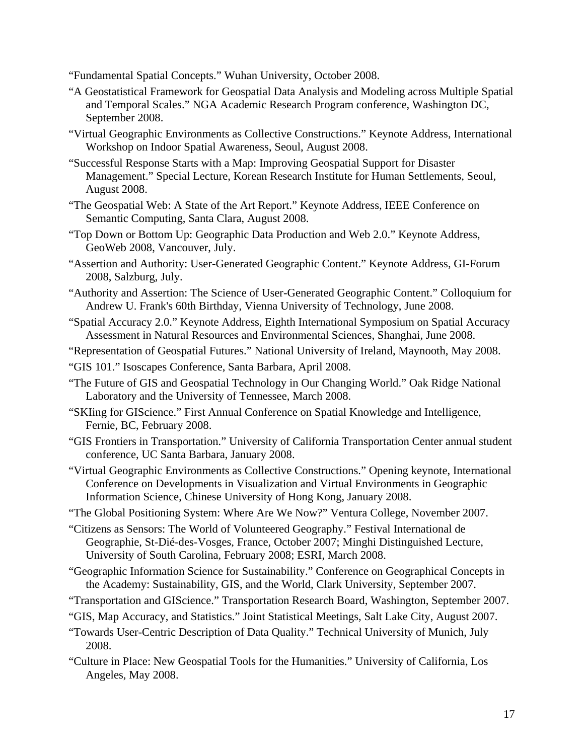"Fundamental Spatial Concepts." Wuhan University, October 2008.

- "A Geostatistical Framework for Geospatial Data Analysis and Modeling across Multiple Spatial and Temporal Scales." NGA Academic Research Program conference, Washington DC, September 2008.
- "Virtual Geographic Environments as Collective Constructions." Keynote Address, International Workshop on Indoor Spatial Awareness, Seoul, August 2008.
- "Successful Response Starts with a Map: Improving Geospatial Support for Disaster Management." Special Lecture, Korean Research Institute for Human Settlements, Seoul, August 2008.
- "The Geospatial Web: A State of the Art Report." Keynote Address, IEEE Conference on Semantic Computing, Santa Clara, August 2008.
- "Top Down or Bottom Up: Geographic Data Production and Web 2.0." Keynote Address, GeoWeb 2008, Vancouver, July.
- "Assertion and Authority: User-Generated Geographic Content." Keynote Address, GI-Forum 2008, Salzburg, July.
- "Authority and Assertion: The Science of User-Generated Geographic Content." Colloquium for Andrew U. Frank's 60th Birthday, Vienna University of Technology, June 2008.
- "Spatial Accuracy 2.0." Keynote Address, Eighth International Symposium on Spatial Accuracy Assessment in Natural Resources and Environmental Sciences, Shanghai, June 2008.
- "Representation of Geospatial Futures." National University of Ireland, Maynooth, May 2008.
- "GIS 101." Isoscapes Conference, Santa Barbara, April 2008.
- "The Future of GIS and Geospatial Technology in Our Changing World." Oak Ridge National Laboratory and the University of Tennessee, March 2008.
- "SKIing for GIScience." First Annual Conference on Spatial Knowledge and Intelligence, Fernie, BC, February 2008.
- "GIS Frontiers in Transportation." University of California Transportation Center annual student conference, UC Santa Barbara, January 2008.
- "Virtual Geographic Environments as Collective Constructions." Opening keynote, International Conference on Developments in Visualization and Virtual Environments in Geographic Information Science, Chinese University of Hong Kong, January 2008.
- "The Global Positioning System: Where Are We Now?" Ventura College, November 2007.
- "Citizens as Sensors: The World of Volunteered Geography." Festival International de Geographie, St-Dié-des-Vosges, France, October 2007; Minghi Distinguished Lecture, University of South Carolina, February 2008; ESRI, March 2008.
- "Geographic Information Science for Sustainability." Conference on Geographical Concepts in the Academy: Sustainability, GIS, and the World, Clark University, September 2007.
- "Transportation and GIScience." Transportation Research Board, Washington, September 2007.
- "GIS, Map Accuracy, and Statistics." Joint Statistical Meetings, Salt Lake City, August 2007.
- "Towards User-Centric Description of Data Quality." Technical University of Munich, July 2008.
- "Culture in Place: New Geospatial Tools for the Humanities." University of California, Los Angeles, May 2008.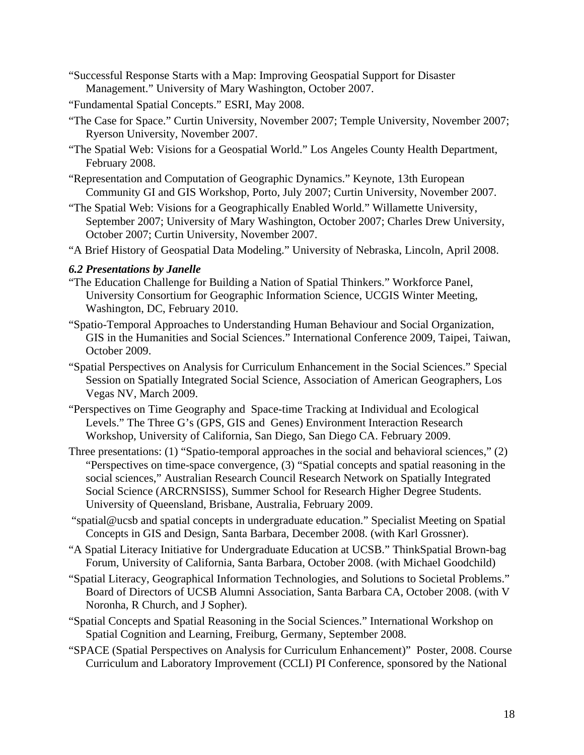"Successful Response Starts with a Map: Improving Geospatial Support for Disaster Management." University of Mary Washington, October 2007.

"Fundamental Spatial Concepts." ESRI, May 2008.

- "The Case for Space." Curtin University, November 2007; Temple University, November 2007; Ryerson University, November 2007.
- "The Spatial Web: Visions for a Geospatial World." Los Angeles County Health Department, February 2008.
- "Representation and Computation of Geographic Dynamics." Keynote, 13th European Community GI and GIS Workshop, Porto, July 2007; Curtin University, November 2007.
- "The Spatial Web: Visions for a Geographically Enabled World." Willamette University, September 2007; University of Mary Washington, October 2007; Charles Drew University, October 2007; Curtin University, November 2007.
- "A Brief History of Geospatial Data Modeling." University of Nebraska, Lincoln, April 2008.

#### *6.2 Presentations by Janelle*

- "The Education Challenge for Building a Nation of Spatial Thinkers." Workforce Panel, University Consortium for Geographic Information Science, UCGIS Winter Meeting, Washington, DC, February 2010.
- "Spatio-Temporal Approaches to Understanding Human Behaviour and Social Organization, GIS in the Humanities and Social Sciences." International Conference 2009, Taipei, Taiwan, October 2009.
- "Spatial Perspectives on Analysis for Curriculum Enhancement in the Social Sciences." Special Session on Spatially Integrated Social Science, Association of American Geographers, Los Vegas NV, March 2009.
- "Perspectives on Time Geography and Space-time Tracking at Individual and Ecological Levels." The Three G's (GPS, GIS and Genes) Environment Interaction Research Workshop, University of California, San Diego, San Diego CA. February 2009.
- Three presentations: (1) "Spatio-temporal approaches in the social and behavioral sciences," (2) "Perspectives on time-space convergence, (3) "Spatial concepts and spatial reasoning in the social sciences," Australian Research Council Research Network on Spatially Integrated Social Science (ARCRNSISS), Summer School for Research Higher Degree Students. University of Queensland, Brisbane, Australia, February 2009.
- "spatial@ucsb and spatial concepts in undergraduate education." Specialist Meeting on Spatial Concepts in GIS and Design, Santa Barbara, December 2008. (with Karl Grossner).
- "A Spatial Literacy Initiative for Undergraduate Education at UCSB." ThinkSpatial Brown-bag Forum, University of California, Santa Barbara, October 2008. (with Michael Goodchild)
- "Spatial Literacy, Geographical Information Technologies, and Solutions to Societal Problems." Board of Directors of UCSB Alumni Association, Santa Barbara CA, October 2008. (with V Noronha, R Church, and J Sopher).
- "Spatial Concepts and Spatial Reasoning in the Social Sciences." International Workshop on Spatial Cognition and Learning, Freiburg, Germany, September 2008.
- "SPACE (Spatial Perspectives on Analysis for Curriculum Enhancement)" Poster, 2008. Course Curriculum and Laboratory Improvement (CCLI) PI Conference, sponsored by the National